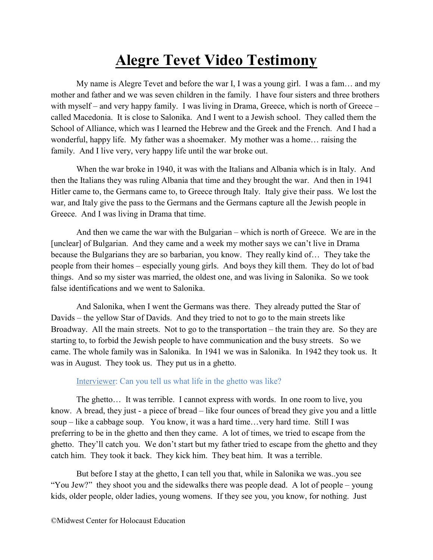## Alegre Tevet Video Testimony

My name is Alegre Tevet and before the war I, I was a young girl. I was a fam… and my mother and father and we was seven children in the family. I have four sisters and three brothers with myself – and very happy family. I was living in Drama, Greece, which is north of Greece – called Macedonia. It is close to Salonika. And I went to a Jewish school. They called them the School of Alliance, which was I learned the Hebrew and the Greek and the French. And I had a wonderful, happy life. My father was a shoemaker. My mother was a home… raising the family. And I live very, very happy life until the war broke out.

When the war broke in 1940, it was with the Italians and Albania which is in Italy. And then the Italians they was ruling Albania that time and they brought the war. And then in 1941 Hitler came to, the Germans came to, to Greece through Italy. Italy give their pass. We lost the war, and Italy give the pass to the Germans and the Germans capture all the Jewish people in Greece. And I was living in Drama that time.

And then we came the war with the Bulgarian – which is north of Greece. We are in the [unclear] of Bulgarian. And they came and a week my mother says we can't live in Drama because the Bulgarians they are so barbarian, you know. They really kind of… They take the people from their homes – especially young girls. And boys they kill them. They do lot of bad things. And so my sister was married, the oldest one, and was living in Salonika. So we took false identifications and we went to Salonika.

And Salonika, when I went the Germans was there. They already putted the Star of Davids – the yellow Star of Davids. And they tried to not to go to the main streets like Broadway. All the main streets. Not to go to the transportation – the train they are. So they are starting to, to forbid the Jewish people to have communication and the busy streets. So we came. The whole family was in Salonika. In 1941 we was in Salonika. In 1942 they took us. It was in August. They took us. They put us in a ghetto.

## Interviewer: Can you tell us what life in the ghetto was like?

The ghetto… It was terrible. I cannot express with words. In one room to live, you know. A bread, they just - a piece of bread – like four ounces of bread they give you and a little soup – like a cabbage soup. You know, it was a hard time…very hard time. Still I was preferring to be in the ghetto and then they came. A lot of times, we tried to escape from the ghetto. They'll catch you. We don't start but my father tried to escape from the ghetto and they catch him. They took it back. They kick him. They beat him. It was a terrible.

But before I stay at the ghetto, I can tell you that, while in Salonika we was..you see "You Jew?" they shoot you and the sidewalks there was people dead. A lot of people – young kids, older people, older ladies, young womens. If they see you, you know, for nothing. Just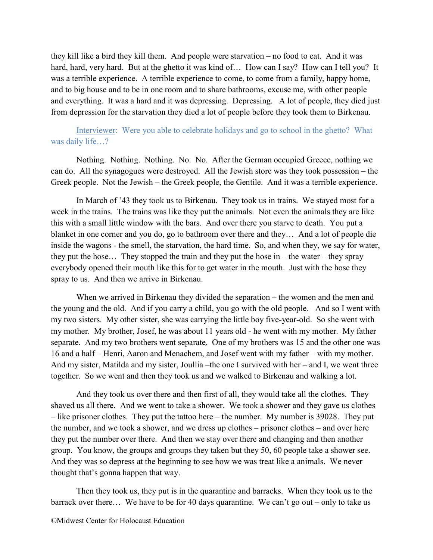they kill like a bird they kill them. And people were starvation – no food to eat. And it was hard, hard, very hard. But at the ghetto it was kind of... How can I say? How can I tell you? It was a terrible experience. A terrible experience to come, to come from a family, happy home, and to big house and to be in one room and to share bathrooms, excuse me, with other people and everything. It was a hard and it was depressing. Depressing. A lot of people, they died just from depression for the starvation they died a lot of people before they took them to Birkenau.

Interviewer: Were you able to celebrate holidays and go to school in the ghetto? What was daily life…?

Nothing. Nothing. Nothing. No. No. After the German occupied Greece, nothing we can do. All the synagogues were destroyed. All the Jewish store was they took possession – the Greek people. Not the Jewish – the Greek people, the Gentile. And it was a terrible experience.

In March of '43 they took us to Birkenau. They took us in trains. We stayed most for a week in the trains. The trains was like they put the animals. Not even the animals they are like this with a small little window with the bars. And over there you starve to death. You put a blanket in one corner and you do, go to bathroom over there and they… And a lot of people die inside the wagons - the smell, the starvation, the hard time. So, and when they, we say for water, they put the hose... They stopped the train and they put the hose in – the water – they spray everybody opened their mouth like this for to get water in the mouth. Just with the hose they spray to us. And then we arrive in Birkenau.

When we arrived in Birkenau they divided the separation – the women and the men and the young and the old. And if you carry a child, you go with the old people. And so I went with my two sisters. My other sister, she was carrying the little boy five-year-old. So she went with my mother. My brother, Josef, he was about 11 years old - he went with my mother. My father separate. And my two brothers went separate. One of my brothers was 15 and the other one was 16 and a half – Henri, Aaron and Menachem, and Josef went with my father – with my mother. And my sister, Matilda and my sister, Joullia –the one I survived with her – and I, we went three together. So we went and then they took us and we walked to Birkenau and walking a lot.

And they took us over there and then first of all, they would take all the clothes. They shaved us all there. And we went to take a shower. We took a shower and they gave us clothes – like prisoner clothes. They put the tattoo here – the number. My number is 39028. They put the number, and we took a shower, and we dress up clothes – prisoner clothes – and over here they put the number over there. And then we stay over there and changing and then another group. You know, the groups and groups they taken but they 50, 60 people take a shower see. And they was so depress at the beginning to see how we was treat like a animals. We never thought that's gonna happen that way.

Then they took us, they put is in the quarantine and barracks. When they took us to the barrack over there… We have to be for 40 days quarantine. We can't go out – only to take us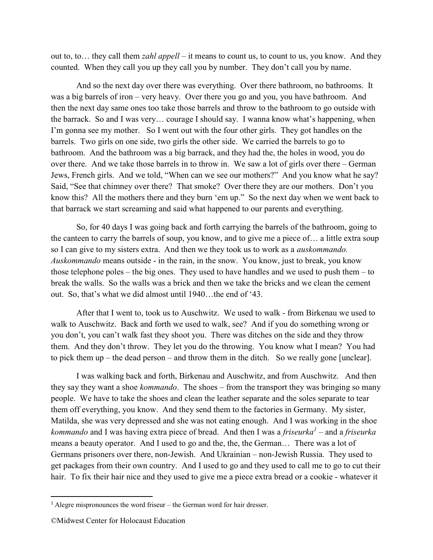out to, to… they call them *zahl appell* – it means to count us, to count to us, you know. And they counted. When they call you up they call you by number. They don't call you by name.

And so the next day over there was everything. Over there bathroom, no bathrooms. It was a big barrels of iron – very heavy. Over there you go and you, you have bathroom. And then the next day same ones too take those barrels and throw to the bathroom to go outside with the barrack. So and I was very… courage I should say. I wanna know what's happening, when I'm gonna see my mother. So I went out with the four other girls. They got handles on the barrels. Two girls on one side, two girls the other side. We carried the barrels to go to bathroom. And the bathroom was a big barrack, and they had the, the holes in wood, you do over there. And we take those barrels in to throw in. We saw a lot of girls over there – German Jews, French girls. And we told, "When can we see our mothers?" And you know what he say? Said, "See that chimney over there? That smoke? Over there they are our mothers. Don't you know this? All the mothers there and they burn 'em up." So the next day when we went back to that barrack we start screaming and said what happened to our parents and everything.

So, for 40 days I was going back and forth carrying the barrels of the bathroom, going to the canteen to carry the barrels of soup, you know, and to give me a piece of… a little extra soup so I can give to my sisters extra. And then we they took us to work as a auskommando. Auskommando means outside - in the rain, in the snow. You know, just to break, you know those telephone poles – the big ones. They used to have handles and we used to push them – to break the walls. So the walls was a brick and then we take the bricks and we clean the cement out. So, that's what we did almost until 1940…the end of '43.

After that I went to, took us to Auschwitz. We used to walk - from Birkenau we used to walk to Auschwitz. Back and forth we used to walk, see? And if you do something wrong or you don't, you can't walk fast they shoot you. There was ditches on the side and they throw them. And they don't throw. They let you do the throwing. You know what I mean? You had to pick them up – the dead person – and throw them in the ditch. So we really gone [unclear].

I was walking back and forth, Birkenau and Auschwitz, and from Auschwitz. And then they say they want a shoe *kommando*. The shoes – from the transport they was bringing so many people. We have to take the shoes and clean the leather separate and the soles separate to tear them off everything, you know. And they send them to the factories in Germany. My sister, Matilda, she was very depressed and she was not eating enough. And I was working in the shoe kommando and I was having extra piece of bread. And then I was a *friseurka*<sup>1</sup> – and a *friseurka* means a beauty operator. And I used to go and the, the, the German… There was a lot of Germans prisoners over there, non-Jewish. And Ukrainian – non-Jewish Russia. They used to get packages from their own country. And I used to go and they used to call me to go to cut their hair. To fix their hair nice and they used to give me a piece extra bread or a cookie - whatever it

 $1$  Alegre mispronounces the word friseur – the German word for hair dresser.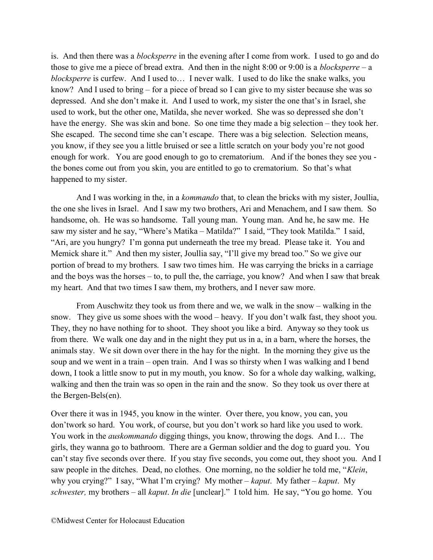is. And then there was a blocksperre in the evening after I come from work. I used to go and do those to give me a piece of bread extra. And then in the night  $8:00$  or  $9:00$  is a blocksperre – a blocksperre is curfew. And I used to… I never walk. I used to do like the snake walks, you know? And I used to bring – for a piece of bread so I can give to my sister because she was so depressed. And she don't make it. And I used to work, my sister the one that's in Israel, she used to work, but the other one, Matilda, she never worked. She was so depressed she don't have the energy. She was skin and bone. So one time they made a big selection – they took her. She escaped. The second time she can't escape. There was a big selection. Selection means, you know, if they see you a little bruised or see a little scratch on your body you're not good enough for work. You are good enough to go to crematorium. And if the bones they see you the bones come out from you skin, you are entitled to go to crematorium. So that's what happened to my sister.

And I was working in the, in a *kommando* that, to clean the bricks with my sister, Joullia, the one she lives in Israel. And I saw my two brothers, Ari and Menachem, and I saw them. So handsome, oh. He was so handsome. Tall young man. Young man. And he, he saw me. He saw my sister and he say, "Where's Matika – Matilda?" I said, "They took Matilda." I said, "Ari, are you hungry? I'm gonna put underneath the tree my bread. Please take it. You and Memick share it." And then my sister, Joullia say, "I'll give my bread too." So we give our portion of bread to my brothers. I saw two times him. He was carrying the bricks in a carriage and the boys was the horses – to, to pull the, the carriage, you know? And when I saw that break my heart. And that two times I saw them, my brothers, and I never saw more.

From Auschwitz they took us from there and we, we walk in the snow – walking in the snow. They give us some shoes with the wood – heavy. If you don't walk fast, they shoot you. They, they no have nothing for to shoot. They shoot you like a bird. Anyway so they took us from there. We walk one day and in the night they put us in a, in a barn, where the horses, the animals stay. We sit down over there in the hay for the night. In the morning they give us the soup and we went in a train – open train. And I was so thirsty when I was walking and I bend down, I took a little snow to put in my mouth, you know. So for a whole day walking, walking, walking and then the train was so open in the rain and the snow. So they took us over there at the Bergen-Bels(en).

Over there it was in 1945, you know in the winter. Over there, you know, you can, you don'twork so hard. You work, of course, but you don't work so hard like you used to work. You work in the *auskommando* digging things, you know, throwing the dogs. And I... The girls, they wanna go to bathroom. There are a German soldier and the dog to guard you. You can't stay five seconds over there. If you stay five seconds, you come out, they shoot you. And I saw people in the ditches. Dead, no clothes. One morning, no the soldier he told me, "Klein, why you crying?" I say, "What I'm crying? My mother – kaput. My father – kaput. My schwester, my brothers – all kaput. In die [unclear]." I told him. He say, "You go home. You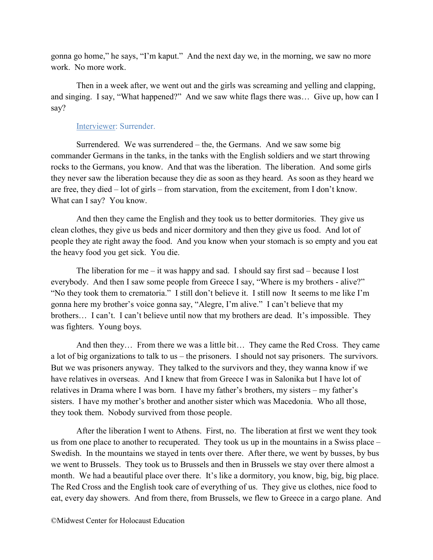gonna go home," he says, "I'm kaput." And the next day we, in the morning, we saw no more work. No more work.

Then in a week after, we went out and the girls was screaming and yelling and clapping, and singing. I say, "What happened?" And we saw white flags there was… Give up, how can I say?

## Interviewer: Surrender.

Surrendered. We was surrendered – the, the Germans. And we saw some big commander Germans in the tanks, in the tanks with the English soldiers and we start throwing rocks to the Germans, you know. And that was the liberation. The liberation. And some girls they never saw the liberation because they die as soon as they heard. As soon as they heard we are free, they died – lot of girls – from starvation, from the excitement, from I don't know. What can I say? You know.

And then they came the English and they took us to better dormitories. They give us clean clothes, they give us beds and nicer dormitory and then they give us food. And lot of people they ate right away the food. And you know when your stomach is so empty and you eat the heavy food you get sick. You die.

The liberation for me – it was happy and sad. I should say first sad – because I lost everybody. And then I saw some people from Greece I say, "Where is my brothers - alive?" "No they took them to crematoria." I still don't believe it. I still now It seems to me like I'm gonna here my brother's voice gonna say, "Alegre, I'm alive." I can't believe that my brothers… I can't. I can't believe until now that my brothers are dead. It's impossible. They was fighters. Young boys.

And then they… From there we was a little bit… They came the Red Cross. They came a lot of big organizations to talk to us – the prisoners. I should not say prisoners. The survivors. But we was prisoners anyway. They talked to the survivors and they, they wanna know if we have relatives in overseas. And I knew that from Greece I was in Salonika but I have lot of relatives in Drama where I was born. I have my father's brothers, my sisters – my father's sisters. I have my mother's brother and another sister which was Macedonia. Who all those, they took them. Nobody survived from those people.

After the liberation I went to Athens. First, no. The liberation at first we went they took us from one place to another to recuperated. They took us up in the mountains in a Swiss place – Swedish. In the mountains we stayed in tents over there. After there, we went by busses, by bus we went to Brussels. They took us to Brussels and then in Brussels we stay over there almost a month. We had a beautiful place over there. It's like a dormitory, you know, big, big, big place. The Red Cross and the English took care of everything of us. They give us clothes, nice food to eat, every day showers. And from there, from Brussels, we flew to Greece in a cargo plane. And